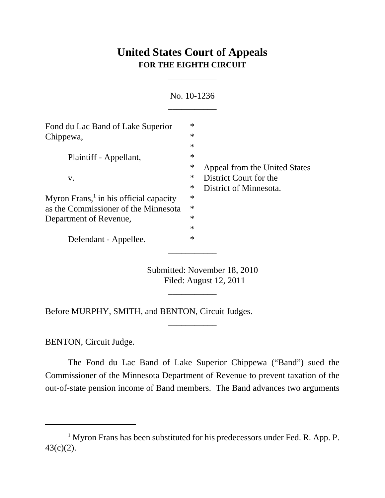## **United States Court of Appeals FOR THE EIGHTH CIRCUIT**

\_\_\_\_\_\_\_\_\_\_\_

|                                                                                             |                            | No. 10-1236                                                                       |
|---------------------------------------------------------------------------------------------|----------------------------|-----------------------------------------------------------------------------------|
| Fond du Lac Band of Lake Superior<br>Chippewa,                                              | $\ast$<br>$\ast$<br>$\ast$ |                                                                                   |
| Plaintiff - Appellant,                                                                      | $\ast$<br>$\ast$           |                                                                                   |
| V.                                                                                          | ∗<br>∗                     | Appeal from the United States<br>District Court for the<br>District of Minnesota. |
| Myron Frans, $\frac{1}{1}$ in his official capacity<br>as the Commissioner of the Minnesota | ∗<br>$\ast$                |                                                                                   |
| Department of Revenue,                                                                      | $\ast$<br>$\ast$           |                                                                                   |
| Defendant - Appellee.                                                                       | $\ast$                     |                                                                                   |
|                                                                                             |                            |                                                                                   |

Submitted: November 18, 2010 Filed: August 12, 2011

\_\_\_\_\_\_\_\_\_\_\_

\_\_\_\_\_\_\_\_\_\_\_

Before MURPHY, SMITH, and BENTON, Circuit Judges.

BENTON, Circuit Judge.

The Fond du Lac Band of Lake Superior Chippewa ("Band") sued the Commissioner of the Minnesota Department of Revenue to prevent taxation of the out-of-state pension income of Band members. The Band advances two arguments

<sup>&</sup>lt;sup>1</sup> Myron Frans has been substituted for his predecessors under Fed. R. App. P. 43(c)(2).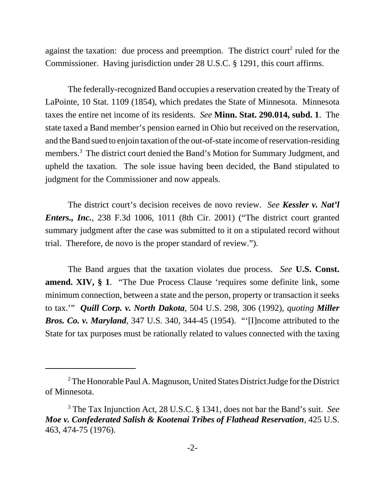against the taxation: due process and preemption. The district court<sup>2</sup> ruled for the Commissioner. Having jurisdiction under 28 U.S.C. § 1291, this court affirms.

The federally-recognized Band occupies a reservation created by the Treaty of LaPointe, 10 Stat. 1109 (1854), which predates the State of Minnesota. Minnesota taxes the entire net income of its residents. *See* **Minn. Stat. 290.014, subd. 1**. The state taxed a Band member's pension earned in Ohio but received on the reservation, and the Band sued to enjoin taxation of the out-of-state income of reservation-residing members.<sup>3</sup> The district court denied the Band's Motion for Summary Judgment, and upheld the taxation. The sole issue having been decided, the Band stipulated to judgment for the Commissioner and now appeals.

The district court's decision receives de novo review. *See Kessler v. Nat'l Enters., Inc.*, 238 F.3d 1006, 1011 (8th Cir. 2001) ("The district court granted summary judgment after the case was submitted to it on a stipulated record without trial. Therefore, de novo is the proper standard of review.").

The Band argues that the taxation violates due process. *See* **U.S. Const. amend. XIV, § 1**. "The Due Process Clause 'requires some definite link, some minimum connection, between a state and the person, property or transaction it seeks to tax.'" *Quill Corp. v. North Dakota*, 504 U.S. 298, 306 (1992), *quoting Miller Bros. Co. v. Maryland*, 347 U.S. 340, 344-45 (1954). "'[I]ncome attributed to the State for tax purposes must be rationally related to values connected with the taxing

<sup>&</sup>lt;sup>2</sup> The Honorable Paul A. Magnuson, United States District Judge for the District of Minnesota.

<sup>3</sup> The Tax Injunction Act, 28 U.S.C. § 1341, does not bar the Band's suit. *See Moe v. Confederated Salish & Kootenai Tribes of Flathead Reservation*, 425 U.S. 463, 474-75 (1976).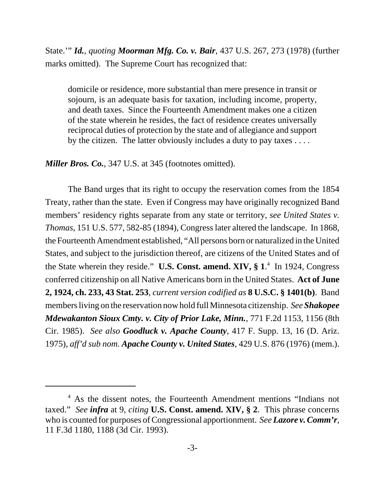State.'" *Id.*, *quoting Moorman Mfg. Co. v. Bair*, 437 U.S. 267, 273 (1978) (further marks omitted). The Supreme Court has recognized that:

domicile or residence, more substantial than mere presence in transit or sojourn, is an adequate basis for taxation, including income, property, and death taxes. Since the Fourteenth Amendment makes one a citizen of the state wherein he resides, the fact of residence creates universally reciprocal duties of protection by the state and of allegiance and support by the citizen. The latter obviously includes a duty to pay taxes  $\dots$ .

*Miller Bros. Co.*, 347 U.S. at 345 (footnotes omitted).

The Band urges that its right to occupy the reservation comes from the 1854 Treaty, rather than the state. Even if Congress may have originally recognized Band members' residency rights separate from any state or territory, *see United States v. Thomas*, 151 U.S. 577, 582-85 (1894), Congress later altered the landscape. In 1868, the Fourteenth Amendment established, "All persons born or naturalized in the United States, and subject to the jurisdiction thereof, are citizens of the United States and of the State wherein they reside." U.S. Const. amend. XIV, § 1.<sup>4</sup> In 1924, Congress conferred citizenship on all Native Americans born in the United States. **Act of June 2, 1924, ch. 233, 43 Stat. 253**, *current version codified as* **8 U.S.C. § 1401(b)**. Band members living on the reservation now hold full Minnesota citizenship. *See Shakopee Mdewakanton Sioux Cmty. v. City of Prior Lake, Minn.*, 771 F.2d 1153, 1156 (8th Cir. 1985). *See also Goodluck v. Apache County*, 417 F. Supp. 13, 16 (D. Ariz. 1975), *aff'd sub nom. Apache County v. United States*, 429 U.S. 876 (1976) (mem.).

<sup>&</sup>lt;sup>4</sup> As the dissent notes, the Fourteenth Amendment mentions "Indians not taxed." *See infra* at 9, *citing* **U.S. Const. amend. XIV, § 2**. This phrase concerns who is counted for purposes of Congressional apportionment. *See Lazore v. Comm'r*, 11 F.3d 1180, 1188 (3d Cir. 1993).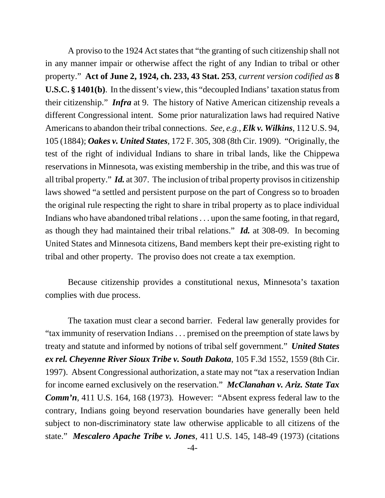A proviso to the 1924 Act states that "the granting of such citizenship shall not in any manner impair or otherwise affect the right of any Indian to tribal or other property." **Act of June 2, 1924, ch. 233, 43 Stat. 253**, *current version codified as* **8 U.S.C. § 1401(b)**. In the dissent's view, this "decoupled Indians' taxation status from their citizenship." *Infra* at 9. The history of Native American citizenship reveals a different Congressional intent. Some prior naturalization laws had required Native Americans to abandon their tribal connections. *See, e.g., Elk v. Wilkins*, 112 U.S. 94, 105 (1884); *Oakes v. United States*, 172 F. 305, 308 (8th Cir. 1909). "Originally, the test of the right of individual Indians to share in tribal lands, like the Chippewa reservations in Minnesota, was existing membership in the tribe, and this was true of all tribal property." *Id.* at 307. The inclusion of tribal property provisos in citizenship laws showed "a settled and persistent purpose on the part of Congress so to broaden the original rule respecting the right to share in tribal property as to place individual Indians who have abandoned tribal relations . . . upon the same footing, in that regard, as though they had maintained their tribal relations." *Id.* at 308-09. In becoming United States and Minnesota citizens, Band members kept their pre-existing right to tribal and other property. The proviso does not create a tax exemption.

Because citizenship provides a constitutional nexus, Minnesota's taxation complies with due process.

The taxation must clear a second barrier. Federal law generally provides for "tax immunity of reservation Indians . . . premised on the preemption of state laws by treaty and statute and informed by notions of tribal self government." *United States ex rel. Cheyenne River Sioux Tribe v. South Dakota*, 105 F.3d 1552, 1559 (8th Cir. 1997). Absent Congressional authorization, a state may not "tax a reservation Indian for income earned exclusively on the reservation." *McClanahan v. Ariz. State Tax Comm'n*, 411 U.S. 164, 168 (1973)*.* However: "Absent express federal law to the contrary, Indians going beyond reservation boundaries have generally been held subject to non-discriminatory state law otherwise applicable to all citizens of the state." *Mescalero Apache Tribe v. Jones*, 411 U.S. 145, 148-49 (1973) (citations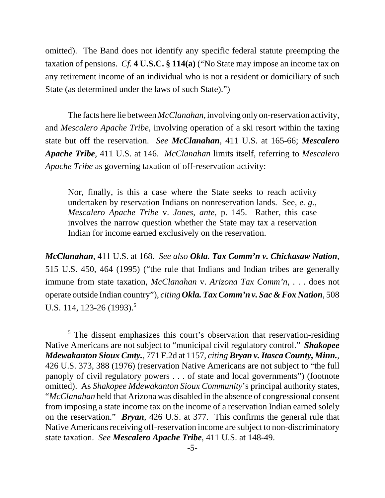omitted). The Band does not identify any specific federal statute preempting the taxation of pensions. *Cf.* **4 U.S.C. § 114(a)** ("No State may impose an income tax on any retirement income of an individual who is not a resident or domiciliary of such State (as determined under the laws of such State).")

The facts here lie between *McClanahan*, involving only on-reservation activity, and *Mescalero Apache Tribe*, involving operation of a ski resort within the taxing state but off the reservation. *See McClanahan*, 411 U.S. at 165-66; *Mescalero Apache Tribe*, 411 U.S. at 146. *McClanahan* limits itself, referring to *Mescalero Apache Tribe* as governing taxation of off-reservation activity:

Nor, finally, is this a case where the State seeks to reach activity undertaken by reservation Indians on nonreservation lands. See, *e. g.*, *Mescalero Apache Tribe* v. *Jones*, *ante*, p. 145. Rather, this case involves the narrow question whether the State may tax a reservation Indian for income earned exclusively on the reservation.

*McClanahan*, 411 U.S. at 168. *See also Okla. Tax Comm'n v. Chickasaw Nation*, 515 U.S. 450, 464 (1995) ("the rule that Indians and Indian tribes are generally immune from state taxation, *McClanahan* v. *Arizona Tax Comm'n*, . . . does not operate outside Indian country"), *citing Okla. Tax Comm'n v. Sac & Fox Nation*, 508 U.S. 114, 123-26  $(1993).$ <sup>5</sup>

<sup>&</sup>lt;sup>5</sup> The dissent emphasizes this court's observation that reservation-residing Native Americans are not subject to "municipal civil regulatory control." *Shakopee Mdewakanton Sioux Cmty.*, 771 F.2d at 1157, *citing Bryan v. Itasca County, Minn.*, 426 U.S. 373, 388 (1976) (reservation Native Americans are not subject to "the full panoply of civil regulatory powers . . . of state and local governments") (footnote omitted). As *Shakopee Mdewakanton Sioux Community*'s principal authority states, "*McClanahan* held that Arizona was disabled in the absence of congressional consent from imposing a state income tax on the income of a reservation Indian earned solely on the reservation." *Bryan*, 426 U.S. at 377. This confirms the general rule that Native Americans receiving off-reservation income are subject to non-discriminatory state taxation. *See Mescalero Apache Tribe*, 411 U.S. at 148-49.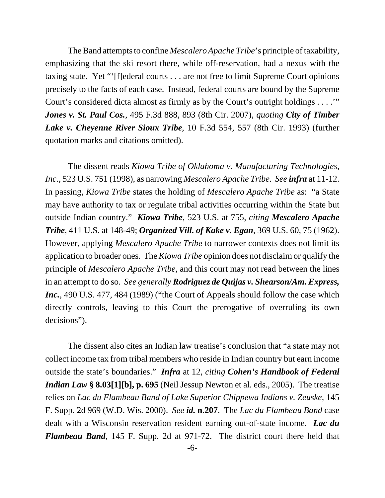The Band attempts to confine *Mescalero Apache Tribe*'s principle of taxability, emphasizing that the ski resort there, while off-reservation, had a nexus with the taxing state. Yet "'[f]ederal courts . . . are not free to limit Supreme Court opinions precisely to the facts of each case. Instead, federal courts are bound by the Supreme Court's considered dicta almost as firmly as by the Court's outright holdings . . . . " *Jones v. St. Paul Cos.*, 495 F.3d 888, 893 (8th Cir. 2007), *quoting City of Timber Lake v. Cheyenne River Sioux Tribe*, 10 F.3d 554, 557 (8th Cir. 1993) (further quotation marks and citations omitted).

The dissent reads *Kiowa Tribe of Oklahoma v. Manufacturing Technologies, Inc.*, 523 U.S. 751 (1998), as narrowing *Mescalero Apache Tribe*. *See infra* at 11-12. In passing, *Kiowa Tribe* states the holding of *Mescalero Apache Tribe* as: "a State may have authority to tax or regulate tribal activities occurring within the State but outside Indian country." *Kiowa Tribe*, 523 U.S. at 755, *citing Mescalero Apache Tribe*, 411 U.S. at 148-49; *Organized Vill. of Kake v. Egan*, 369 U.S. 60, 75 (1962). However, applying *Mescalero Apache Tribe* to narrower contexts does not limit its application to broader ones. The *Kiowa Tribe* opinion does not disclaim or qualify the principle of *Mescalero Apache Tribe*, and this court may not read between the lines in an attempt to do so. *See generally Rodriguez de Quijas v. Shearson/Am. Express,* Inc., 490 U.S. 477, 484 (1989) ("the Court of Appeals should follow the case which directly controls, leaving to this Court the prerogative of overruling its own decisions").

The dissent also cites an Indian law treatise's conclusion that "a state may not collect income tax from tribal members who reside in Indian country but earn income outside the state's boundaries." *Infra* at 12, *citing Cohen's Handbook of Federal Indian Law* **§ 8.03[1][b], p. 695** (Neil Jessup Newton et al. eds., 2005). The treatise relies on *Lac du Flambeau Band of Lake Superior Chippewa Indians v. Zeuske*, 145 F. Supp. 2d 969 (W.D. Wis. 2000). *See id.* **n.207**. The *Lac du Flambeau Band* case dealt with a Wisconsin reservation resident earning out-of-state income. *Lac du Flambeau Band*, 145 F. Supp. 2d at 971-72. The district court there held that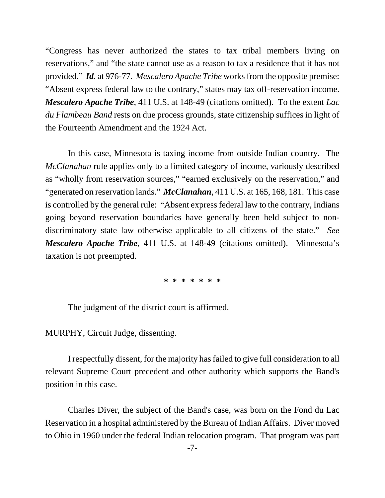"Congress has never authorized the states to tax tribal members living on reservations," and "the state cannot use as a reason to tax a residence that it has not provided." *Id.* at 976-77. *Mescalero Apache Tribe* works from the opposite premise: "Absent express federal law to the contrary," states may tax off-reservation income. *Mescalero Apache Tribe*, 411 U.S. at 148-49 (citations omitted). To the extent *Lac du Flambeau Band* rests on due process grounds, state citizenship suffices in light of the Fourteenth Amendment and the 1924 Act.

In this case, Minnesota is taxing income from outside Indian country. The *McClanahan* rule applies only to a limited category of income, variously described as "wholly from reservation sources," "earned exclusively on the reservation," and "generated on reservation lands." *McClanahan*, 411 U.S. at 165, 168, 181. This case is controlled by the general rule: "Absent express federal law to the contrary, Indians going beyond reservation boundaries have generally been held subject to nondiscriminatory state law otherwise applicable to all citizens of the state." *See Mescalero Apache Tribe*, 411 U.S. at 148-49 (citations omitted). Minnesota's taxation is not preempted.

## **\* \* \* \* \* \* \***

The judgment of the district court is affirmed.

MURPHY, Circuit Judge, dissenting.

I respectfully dissent, for the majority has failed to give full consideration to all relevant Supreme Court precedent and other authority which supports the Band's position in this case.

Charles Diver, the subject of the Band's case, was born on the Fond du Lac Reservation in a hospital administered by the Bureau of Indian Affairs. Diver moved to Ohio in 1960 under the federal Indian relocation program. That program was part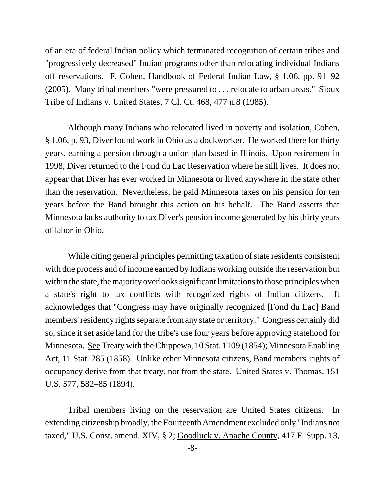of an era of federal Indian policy which terminated recognition of certain tribes and "progressively decreased" Indian programs other than relocating individual Indians off reservations. F. Cohen, Handbook of Federal Indian Law, § 1.06, pp. 91–92 (2005). Many tribal members "were pressured to . . . relocate to urban areas." Sioux Tribe of Indians v. United States, 7 Cl. Ct. 468, 477 n.8 (1985).

Although many Indians who relocated lived in poverty and isolation, Cohen, § 1.06, p. 93, Diver found work in Ohio as a dockworker. He worked there for thirty years, earning a pension through a union plan based in Illinois. Upon retirement in 1998, Diver returned to the Fond du Lac Reservation where he still lives. It does not appear that Diver has ever worked in Minnesota or lived anywhere in the state other than the reservation. Nevertheless, he paid Minnesota taxes on his pension for ten years before the Band brought this action on his behalf. The Band asserts that Minnesota lacks authority to tax Diver's pension income generated by his thirty years of labor in Ohio.

While citing general principles permitting taxation of state residents consistent with due process and of income earned by Indians working outside the reservation but within the state, the majority overlooks significant limitations to those principles when a state's right to tax conflicts with recognized rights of Indian citizens. It acknowledges that "Congress may have originally recognized [Fond du Lac] Band members' residency rights separate from any state or territory." Congress certainly did so, since it set aside land for the tribe's use four years before approving statehood for Minnesota. See Treaty with the Chippewa, 10 Stat. 1109 (1854); Minnesota Enabling Act, 11 Stat. 285 (1858). Unlike other Minnesota citizens, Band members' rights of occupancy derive from that treaty, not from the state. United States v. Thomas, 151 U.S. 577, 582–85 (1894).

Tribal members living on the reservation are United States citizens. In extending citizenship broadly, the Fourteenth Amendment excluded only "Indians not taxed," U.S. Const. amend. XIV, § 2; Goodluck v. Apache County, 417 F. Supp. 13,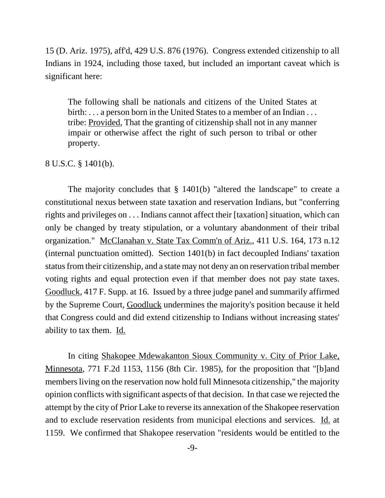15 (D. Ariz. 1975), aff'd, 429 U.S. 876 (1976). Congress extended citizenship to all Indians in 1924, including those taxed, but included an important caveat which is significant here:

The following shall be nationals and citizens of the United States at birth: . . . a person born in the United States to a member of an Indian . . . tribe: Provided, That the granting of citizenship shall not in any manner impair or otherwise affect the right of such person to tribal or other property.

## 8 U.S.C. § 1401(b).

The majority concludes that § 1401(b) "altered the landscape" to create a constitutional nexus between state taxation and reservation Indians, but "conferring rights and privileges on . . . Indians cannot affect their [taxation] situation, which can only be changed by treaty stipulation, or a voluntary abandonment of their tribal organization." McClanahan v. State Tax Comm'n of Ariz., 411 U.S. 164, 173 n.12 (internal punctuation omitted). Section 1401(b) in fact decoupled Indians' taxation status from their citizenship, and a state may not deny an on reservation tribal member voting rights and equal protection even if that member does not pay state taxes. Goodluck, 417 F. Supp. at 16. Issued by a three judge panel and summarily affirmed by the Supreme Court, Goodluck undermines the majority's position because it held that Congress could and did extend citizenship to Indians without increasing states' ability to tax them. Id.

In citing Shakopee Mdewakanton Sioux Community v. City of Prior Lake, Minnesota, 771 F.2d 1153, 1156 (8th Cir. 1985), for the proposition that "[b]and members living on the reservation now hold full Minnesota citizenship," the majority opinion conflicts with significant aspects of that decision. In that case we rejected the attempt by the city of Prior Lake to reverse its annexation of the Shakopee reservation and to exclude reservation residents from municipal elections and services. Id. at 1159. We confirmed that Shakopee reservation "residents would be entitled to the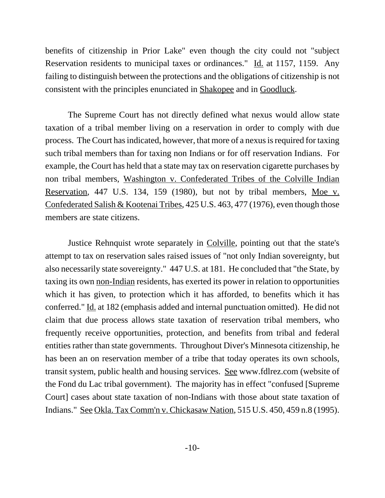benefits of citizenship in Prior Lake" even though the city could not "subject Reservation residents to municipal taxes or ordinances." Id. at 1157, 1159. Any failing to distinguish between the protections and the obligations of citizenship is not consistent with the principles enunciated in Shakopee and in Goodluck.

The Supreme Court has not directly defined what nexus would allow state taxation of a tribal member living on a reservation in order to comply with due process. The Court has indicated, however, that more of a nexus is required for taxing such tribal members than for taxing non Indians or for off reservation Indians. For example, the Court has held that a state may tax on reservation cigarette purchases by non tribal members, Washington v. Confederated Tribes of the Colville Indian Reservation, 447 U.S. 134, 159 (1980), but not by tribal members, Moe v. Confederated Salish & Kootenai Tribes, 425 U.S. 463, 477 (1976), even though those members are state citizens.

Justice Rehnquist wrote separately in Colville, pointing out that the state's attempt to tax on reservation sales raised issues of "not only Indian sovereignty, but also necessarily state sovereignty." 447 U.S. at 181. He concluded that "the State, by taxing its own non-Indian residents, has exerted its power in relation to opportunities which it has given, to protection which it has afforded, to benefits which it has conferred." Id. at 182 (emphasis added and internal punctuation omitted). He did not claim that due process allows state taxation of reservation tribal members, who frequently receive opportunities, protection, and benefits from tribal and federal entities rather than state governments. Throughout Diver's Minnesota citizenship, he has been an on reservation member of a tribe that today operates its own schools, transit system, public health and housing services. See www.fdlrez.com (website of the Fond du Lac tribal government). The majority has in effect "confused [Supreme Court] cases about state taxation of non-Indians with those about state taxation of Indians." See Okla. Tax Comm'n v. Chickasaw Nation, 515 U.S. 450, 459 n.8 (1995).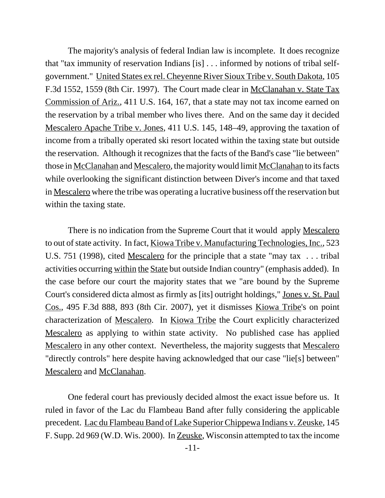The majority's analysis of federal Indian law is incomplete. It does recognize that "tax immunity of reservation Indians [is] . . . informed by notions of tribal selfgovernment." United States ex rel. Cheyenne River Sioux Tribe v. South Dakota, 105 F.3d 1552, 1559 (8th Cir. 1997). The Court made clear in McClanahan v. State Tax Commission of Ariz., 411 U.S. 164, 167, that a state may not tax income earned on the reservation by a tribal member who lives there. And on the same day it decided Mescalero Apache Tribe v. Jones, 411 U.S. 145, 148–49, approving the taxation of income from a tribally operated ski resort located within the taxing state but outside the reservation. Although it recognizes that the facts of the Band's case "lie between" those in McClanahan and Mescalero, the majority would limit McClanahan to its facts while overlooking the significant distinction between Diver's income and that taxed in Mescalero where the tribe was operating a lucrative business off the reservation but within the taxing state.

There is no indication from the Supreme Court that it would apply Mescalero to out of state activity. In fact, Kiowa Tribe v. Manufacturing Technologies, Inc., 523 U.S. 751 (1998), cited Mescalero for the principle that a state "may tax . . . tribal activities occurring within the State but outside Indian country" (emphasis added). In the case before our court the majority states that we "are bound by the Supreme Court's considered dicta almost as firmly as [its] outright holdings," Jones v. St. Paul Cos., 495 F.3d 888, 893 (8th Cir. 2007), yet it dismisses Kiowa Tribe's on point characterization of Mescalero. In Kiowa Tribe the Court explicitly characterized Mescalero as applying to within state activity. No published case has applied Mescalero in any other context. Nevertheless, the majority suggests that Mescalero "directly controls" here despite having acknowledged that our case "lie[s] between" Mescalero and McClanahan.

One federal court has previously decided almost the exact issue before us. It ruled in favor of the Lac du Flambeau Band after fully considering the applicable precedent. Lac du Flambeau Band of Lake Superior Chippewa Indians v. Zeuske, 145 F. Supp. 2d 969 (W.D. Wis. 2000). In Zeuske, Wisconsin attempted to tax the income